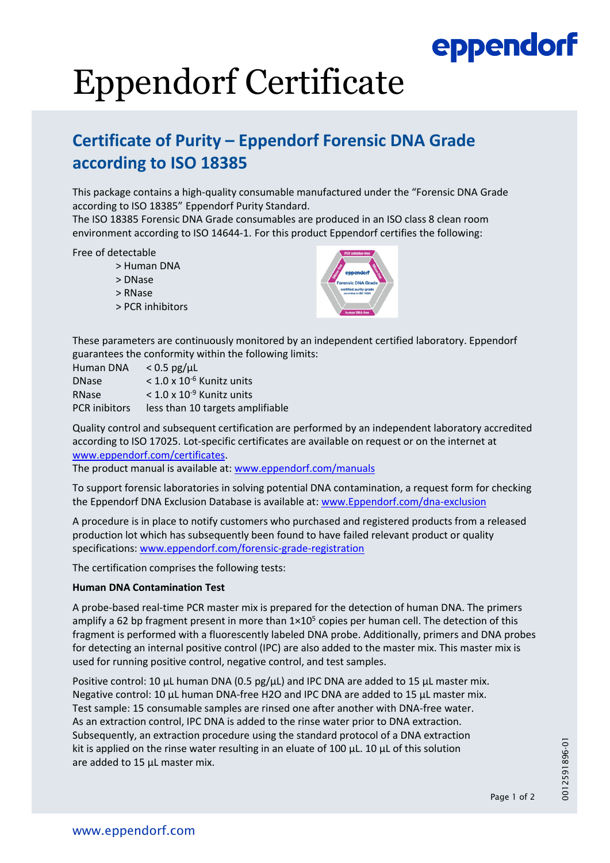## eppendorf

# Eppendorf Certificate

### **Certificate of Purity – Eppendorf Forensic DNA Grade according to ISO 18385**

This package contains a high‐quality consumable manufactured under the "Forensic DNA Grade according to ISO 18385" Eppendorf Purity Standard.

The ISO 18385 Forensic DNA Grade consumables are produced in an ISO class 8 clean room environment according to ISO 14644‐1. For this product Eppendorf certifies the following:

Free of detectable

- > Human DNA
- > DNase
- > RNase
- > PCR inhibitors



These parameters are continuously monitored by an independent certified laboratory. Eppendorf guarantees the conformity within the following limits:

| Human DNA            | $< 0.5$ pg/ $\mu$ L                     |
|----------------------|-----------------------------------------|
| <b>DNase</b>         | $<$ 1.0 x 10 <sup>-6</sup> Kunitz units |
| <b>RNase</b>         | $<$ 1.0 x 10 <sup>-9</sup> Kunitz units |
| <b>PCR</b> inibitors | less than 10 targets amplifiable        |

Quality control and subsequent certification are performed by an independent laboratory accredited according to ISO 17025. Lot‐specific certificates are available on request or on the internet at www.eppendorf.com/certificates.

The product manual is available at: www.eppendorf.com/manuals

To support forensic laboratories in solving potential DNA contamination, a request form for checking the Eppendorf DNA Exclusion Database is available at: www.Eppendorf.com/dna-exclusion

A procedure is in place to notify customers who purchased and registered products from a released production lot which has subsequently been found to have failed relevant product or quality specifications: www.eppendorf.com/forensic‐grade‐registration

The certification comprises the following tests:

### **Human DNA Contamination Test**

A probe‐based real‐time PCR master mix is prepared for the detection of human DNA. The primers amplify a 62 bp fragment present in more than  $1\times10^5$  copies per human cell. The detection of this fragment is performed with a fluorescently labeled DNA probe. Additionally, primers and DNA probes for detecting an internal positive control (IPC) are also added to the master mix. This master mix is used for running positive control, negative control, and test samples.

Positive control: 10 μL human DNA (0.5 pg/μL) and IPC DNA are added to 15 μL master mix. Negative control: 10 μL human DNA‐free H2O and IPC DNA are added to 15 μL master mix. Test sample: 15 consumable samples are rinsed one after another with DNA‐free water. As an extraction control, IPC DNA is added to the rinse water prior to DNA extraction. Subsequently, an extraction procedure using the standard protocol of a DNA extraction kit is applied on the rinse water resulting in an eluate of 100  $\mu$ L. 10  $\mu$ L of this solution are added to 15 μL master mix.

0012591896-01 0012591896-01